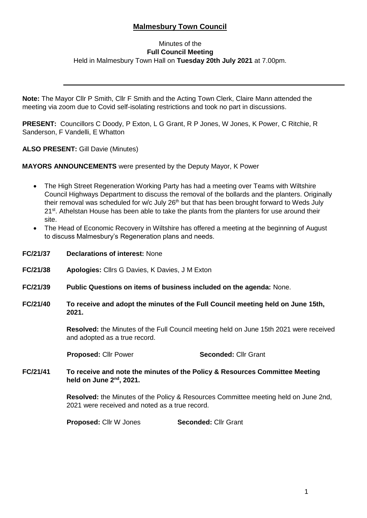# **Malmesbury Town Council**

### Minutes of the **Full Council Meeting** Held in Malmesbury Town Hall on **Tuesday 20th July 2021** at 7.00pm.

**Note:** The Mayor Cllr P Smith, Cllr F Smith and the Acting Town Clerk, Claire Mann attended the meeting via zoom due to Covid self-isolating restrictions and took no part in discussions.

**PRESENT:** Councillors C Doody, P Exton, L G Grant, R P Jones, W Jones, K Power, C Ritchie, R Sanderson, F Vandelli, E Whatton

**ALSO PRESENT:** Gill Davie (Minutes)

**MAYORS ANNOUNCEMENTS** were presented by the Deputy Mayor, K Power

- The High Street Regeneration Working Party has had a meeting over Teams with Wiltshire Council Highways Department to discuss the removal of the bollards and the planters. Originally their removal was scheduled for w/c July  $26<sup>th</sup>$  but that has been brought forward to Weds July 21<sup>st</sup>. Athelstan House has been able to take the plants from the planters for use around their site.
- The Head of Economic Recovery in Wiltshire has offered a meeting at the beginning of August to discuss Malmesbury's Regeneration plans and needs.
- **FC/21/37 Declarations of interest:** None **FC/21/38 Apologies:** Cllrs G Davies, K Davies, J M Exton **FC/21/39 Public Questions on items of business included on the agenda:** None. **FC/21/40 To receive and adopt the minutes of the Full Council meeting held on June 15th, 2021. Resolved:** the Minutes of the Full Council meeting held on June 15th 2021 were received and adopted as a true record. **Proposed:** Cllr Power **Seconded:** Cllr Grant **FC/21/41 To receive and note the minutes of the Policy & Resources Committee Meeting held on June 2nd, 2021. Resolved:** the Minutes of the Policy & Resources Committee meeting held on June 2nd, 2021 were received and noted as a true record.

**Proposed:** Cllr W Jones **Seconded:** Cllr Grant

i,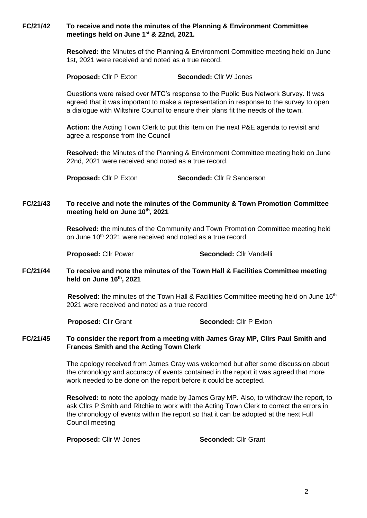**FC/21/42 To receive and note the minutes of the Planning & Environment Committee meetings held on June 1st & 22nd, 2021.**

> **Resolved:** the Minutes of the Planning & Environment Committee meeting held on June 1st, 2021 were received and noted as a true record.

**Proposed:** Cllr P Exton **Seconded:** Cllr W Jones

Questions were raised over MTC's response to the Public Bus Network Survey. It was agreed that it was important to make a representation in response to the survey to open a dialogue with Wiltshire Council to ensure their plans fit the needs of the town.

**Action:** the Acting Town Clerk to put this item on the next P&E agenda to revisit and agree a response from the Council

**Resolved:** the Minutes of the Planning & Environment Committee meeting held on June 22nd, 2021 were received and noted as a true record.

**Proposed:** Cllr P Exton **Seconded:** Cllr R Sanderson

### **FC/21/43 To receive and note the minutes of the Community & Town Promotion Committee meeting held on June 10th, 2021**

**Resolved:** the minutes of the Community and Town Promotion Committee meeting held on June 10<sup>th</sup> 2021 were received and noted as a true record

**Proposed:** Cllr Power **Seconded:** Cllr Vandelli

**FC/21/44 To receive and note the minutes of the Town Hall & Facilities Committee meeting held on June 16th, 2021**

> **Resolved:** the minutes of the Town Hall & Facilities Committee meeting held on June 16th 2021 were received and noted as a true record

**Proposed:** Cllr Grant **Seconded:** Cllr P Exton

### **FC/21/45 To consider the report from a meeting with James Gray MP, Cllrs Paul Smith and Frances Smith and the Acting Town Clerk**

The apology received from James Gray was welcomed but after some discussion about the chronology and accuracy of events contained in the report it was agreed that more work needed to be done on the report before it could be accepted.

**Resolved:** to note the apology made by James Gray MP. Also, to withdraw the report, to ask Cllrs P Smith and Ritchie to work with the Acting Town Clerk to correct the errors in the chronology of events within the report so that it can be adopted at the next Full Council meeting

**Proposed:** Cllr W Jones **Seconded:** Cllr Grant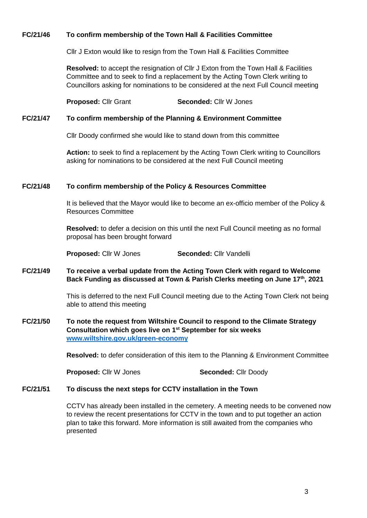### **FC/21/46 To confirm membership of the Town Hall & Facilities Committee**

Cllr J Exton would like to resign from the Town Hall & Facilities Committee

**Resolved:** to accept the resignation of Cllr J Exton from the Town Hall & Facilities Committee and to seek to find a replacement by the Acting Town Clerk writing to Councillors asking for nominations to be considered at the next Full Council meeting

**Proposed:** Cllr Grant **Seconded:** Cllr W Jones

#### **FC/21/47 To confirm membership of the Planning & Environment Committee**

Cllr Doody confirmed she would like to stand down from this committee

**Action:** to seek to find a replacement by the Acting Town Clerk writing to Councillors asking for nominations to be considered at the next Full Council meeting

### **FC/21/48 To confirm membership of the Policy & Resources Committee**

It is believed that the Mayor would like to become an ex-officio member of the Policy & Resources Committee

**Resolved:** to defer a decision on this until the next Full Council meeting as no formal proposal has been brought forward

**Proposed:** Cllr W Jones **Seconded:** Cllr Vandelli

### **FC/21/49 To receive a verbal update from the Acting Town Clerk with regard to Welcome Back Funding as discussed at Town & Parish Clerks meeting on June 17th, 2021**

This is deferred to the next Full Council meeting due to the Acting Town Clerk not being able to attend this meeting

### **FC/21/50 To note the request from Wiltshire Council to respond to the Climate Strategy Consultation which goes live on 1st September for six weeks [www.wiltshire.gov.uk/green-economy](http://www.wiltshire.gov.uk/green-economy)**

**Resolved:** to defer consideration of this item to the Planning & Environment Committee

**Proposed:** Cllr W Jones **Seconded:** Cllr Doody

## **FC/21/51 To discuss the next steps for CCTV installation in the Town**

CCTV has already been installed in the cemetery. A meeting needs to be convened now to review the recent presentations for CCTV in the town and to put together an action plan to take this forward. More information is still awaited from the companies who presented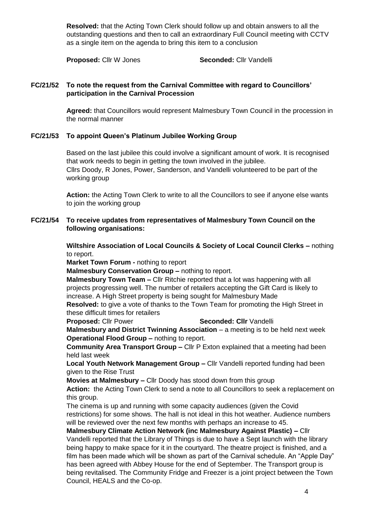**Resolved:** that the Acting Town Clerk should follow up and obtain answers to all the outstanding questions and then to call an extraordinary Full Council meeting with CCTV as a single item on the agenda to bring this item to a conclusion

**Proposed:** Cllr W Jones **Seconded:** Cllr Vandelli

### **FC/21/52 To note the request from the Carnival Committee with regard to Councillors' participation in the Carnival Procession**

**Agreed:** that Councillors would represent Malmesbury Town Council in the procession in the normal manner

### **FC/21/53 To appoint Queen's Platinum Jubilee Working Group**

Based on the last jubilee this could involve a significant amount of work. It is recognised that work needs to begin in getting the town involved in the jubilee. Cllrs Doody, R Jones, Power, Sanderson, and Vandelli volunteered to be part of the working group

**Action:** the Acting Town Clerk to write to all the Councillors to see if anyone else wants to join the working group

### **FC/21/54 To receive updates from representatives of Malmesbury Town Council on the following organisations:**

**Wiltshire Association of Local Councils & Society of Local Council Clerks –** nothing to report.

**Market Town Forum -** nothing to report

**Malmesbury Conservation Group –** nothing to report.

**Malmesbury Town Team –** Cllr Ritchie reported that a lot was happening with all projects progressing well. The number of retailers accepting the Gift Card is likely to increase. A High Street property is being sought for Malmesbury Made

**Resolved:** to give a vote of thanks to the Town Team for promoting the High Street in these difficult times for retailers

### **Proposed:** Cllr Power **Seconded: Cllr** Vandelli

**Malmesbury and District Twinning Association** – a meeting is to be held next week **Operational Flood Group –** nothing to report.

**Community Area Transport Group –** Cllr P Exton explained that a meeting had been held last week

**Local Youth Network Management Group –** Cllr Vandelli reported funding had been given to the Rise Trust

**Movies at Malmesbury –** Cllr Doody has stood down from this group

**Action:** the Acting Town Clerk to send a note to all Councillors to seek a replacement on this group.

The cinema is up and running with some capacity audiences (given the Covid restrictions) for some shows. The hall is not ideal in this hot weather. Audience numbers will be reviewed over the next few months with perhaps an increase to 45.

**Malmesbury Climate Action Network (inc Malmesbury Against Plastic) –** Cllr Vandelli reported that the Library of Things is due to have a Sept launch with the library being happy to make space for it in the courtyard. The theatre project is finished, and a film has been made which will be shown as part of the Carnival schedule. An "Apple Day" has been agreed with Abbey House for the end of September. The Transport group is being revitalised. The Community Fridge and Freezer is a joint project between the Town Council, HEALS and the Co-op.